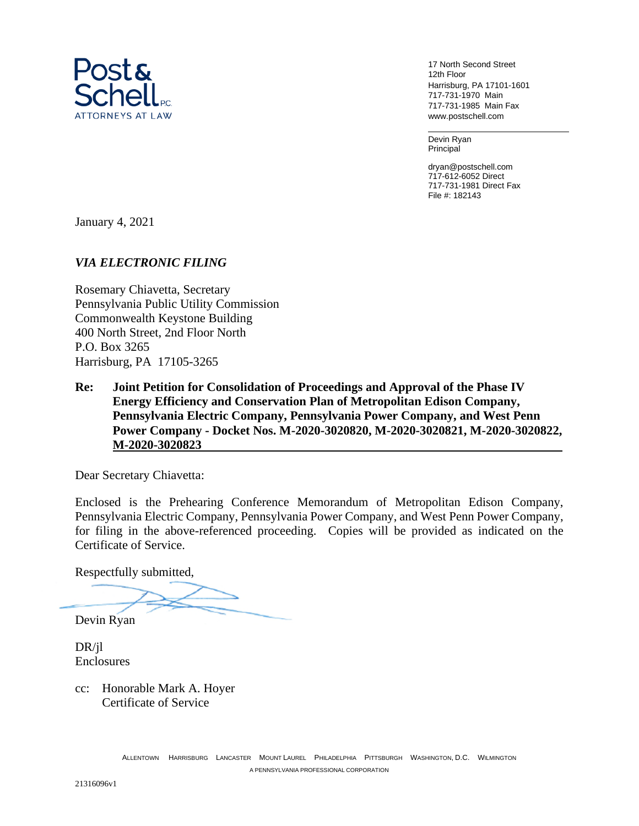

17 North Second Street 12th Floor Harrisburg, PA 17101-1601 717-731-1970 Main 717-731-1985 Main Fax www.postschell.com

Devin Ryan Principal

dryan@postschell.com 717-612-6052 Direct 717-731-1981 Direct Fax File #: 182143

January 4, 2021

# *VIA ELECTRONIC FILING*

Rosemary Chiavetta, Secretary Pennsylvania Public Utility Commission Commonwealth Keystone Building 400 North Street, 2nd Floor North P.O. Box 3265 Harrisburg, PA 17105-3265

**Re: Joint Petition for Consolidation of Proceedings and Approval of the Phase IV Energy Efficiency and Conservation Plan of Metropolitan Edison Company, Pennsylvania Electric Company, Pennsylvania Power Company, and West Penn Power Company - Docket Nos. M-2020-3020820, M-2020-3020821, M-2020-3020822, M-2020-3020823** 

Dear Secretary Chiavetta:

Enclosed is the Prehearing Conference Memorandum of Metropolitan Edison Company, Pennsylvania Electric Company, Pennsylvania Power Company, and West Penn Power Company, for filing in the above-referenced proceeding. Copies will be provided as indicated on the Certificate of Service.

Respectfully submitted,

Devin Ryan

DR/jl Enclosures

cc: Honorable Mark A. Hoyer Certificate of Service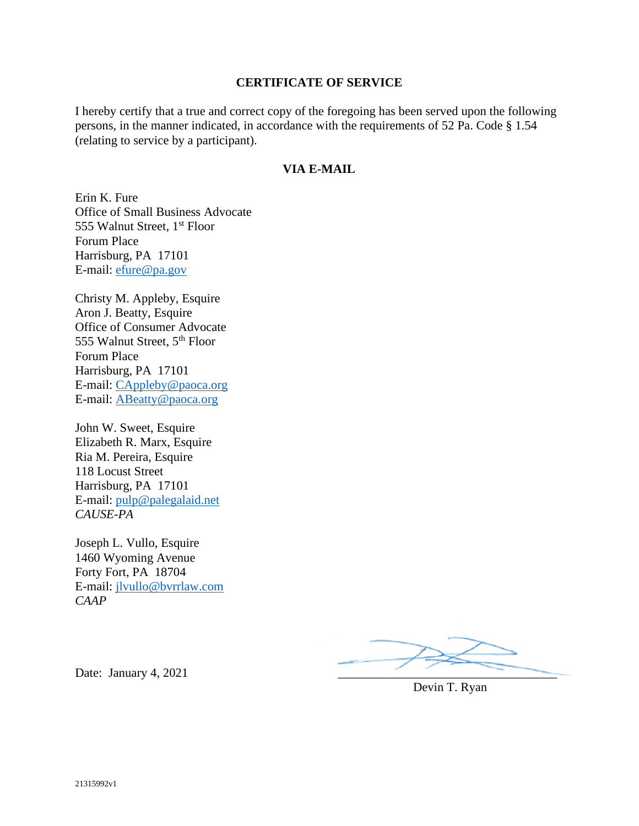## **CERTIFICATE OF SERVICE**

I hereby certify that a true and correct copy of the foregoing has been served upon the following persons, in the manner indicated, in accordance with the requirements of 52 Pa. Code § 1.54 (relating to service by a participant).

## **VIA E-MAIL**

Erin K. Fure Office of Small Business Advocate 555 Walnut Street, 1<sup>st</sup> Floor Forum Place Harrisburg, PA 17101 E-mail: efure@pa.gov

Christy M. Appleby, Esquire Aron J. Beatty, Esquire Office of Consumer Advocate 555 Walnut Street, 5th Floor Forum Place Harrisburg, PA 17101 E-mail: CAppleby@paoca.org E-mail: ABeatty@paoca.org

John W. Sweet, Esquire Elizabeth R. Marx, Esquire Ria M. Pereira, Esquire 118 Locust Street Harrisburg, PA 17101 E-mail: pulp@palegalaid.net *CAUSE-PA* 

Joseph L. Vullo, Esquire 1460 Wyoming Avenue Forty Fort, PA 18704 E-mail: jlvullo@bvrrlaw.com *CAAP*

Devin T. Ryan

Date: January 4,  $2021$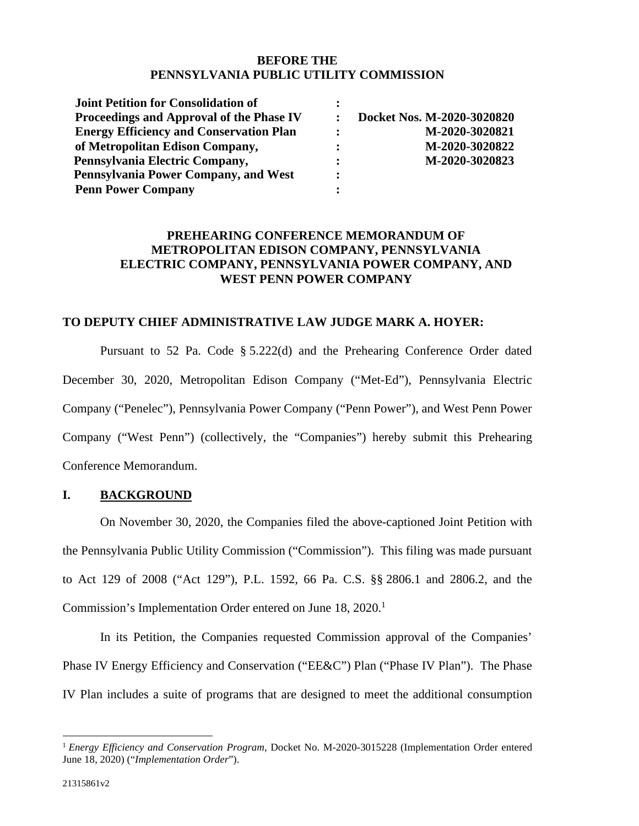## **BEFORE THE PENNSYLVANIA PUBLIC UTILITY COMMISSION**

| Joint Petition for Consolidation of            |                |                            |
|------------------------------------------------|----------------|----------------------------|
| Proceedings and Approval of the Phase IV       |                | Docket Nos. M-2020-3020820 |
| <b>Energy Efficiency and Conservation Plan</b> | $\ddot{\cdot}$ | M-2020-3020821             |
| of Metropolitan Edison Company,                | $\ddot{\cdot}$ | M-2020-3020822             |
| Pennsylvania Electric Company,                 | $\ddot{\cdot}$ | M-2020-3020823             |
| Pennsylvania Power Company, and West           | $\ddot{\cdot}$ |                            |
| <b>Penn Power Company</b>                      |                |                            |

## **PREHEARING CONFERENCE MEMORANDUM OF METROPOLITAN EDISON COMPANY, PENNSYLVANIA ELECTRIC COMPANY, PENNSYLVANIA POWER COMPANY, AND WEST PENN POWER COMPANY**

#### **TO DEPUTY CHIEF ADMINISTRATIVE LAW JUDGE MARK A. HOYER:**

Pursuant to 52 Pa. Code § 5.222(d) and the Prehearing Conference Order dated December 30, 2020, Metropolitan Edison Company ("Met-Ed"), Pennsylvania Electric Company ("Penelec"), Pennsylvania Power Company ("Penn Power"), and West Penn Power Company ("West Penn") (collectively, the "Companies") hereby submit this Prehearing Conference Memorandum.

## **I. BACKGROUND**

On November 30, 2020, the Companies filed the above-captioned Joint Petition with the Pennsylvania Public Utility Commission ("Commission"). This filing was made pursuant to Act 129 of 2008 ("Act 129"), P.L. 1592, 66 Pa. C.S. §§ 2806.1 and 2806.2, and the Commission's Implementation Order entered on June 18, 2020.<sup>1</sup>

In its Petition, the Companies requested Commission approval of the Companies' Phase IV Energy Efficiency and Conservation ("EE&C") Plan ("Phase IV Plan"). The Phase IV Plan includes a suite of programs that are designed to meet the additional consumption

<sup>1</sup> *Energy Efficiency and Conservation Program*, Docket No. M-2020-3015228 (Implementation Order entered June 18, 2020) ("*Implementation Order*").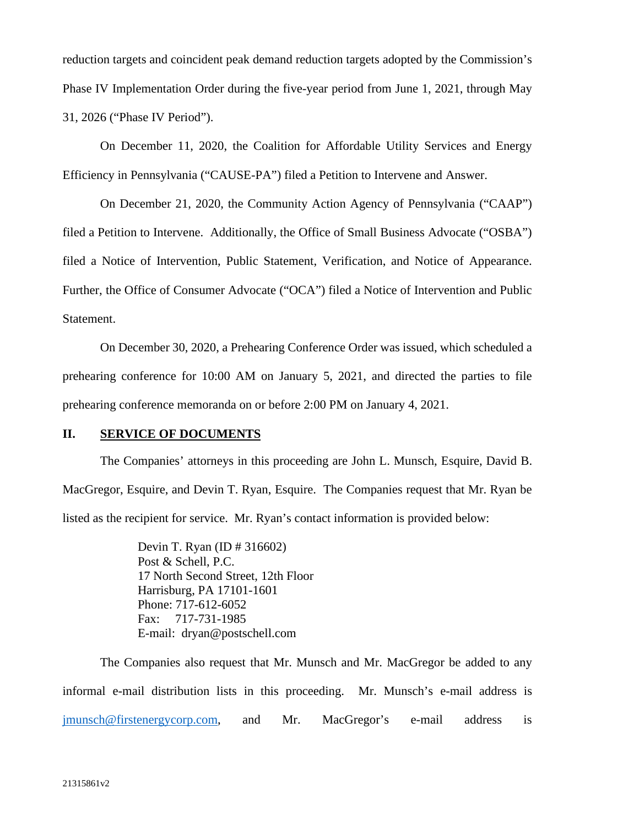reduction targets and coincident peak demand reduction targets adopted by the Commission's Phase IV Implementation Order during the five-year period from June 1, 2021, through May 31, 2026 ("Phase IV Period").

On December 11, 2020, the Coalition for Affordable Utility Services and Energy Efficiency in Pennsylvania ("CAUSE-PA") filed a Petition to Intervene and Answer.

On December 21, 2020, the Community Action Agency of Pennsylvania ("CAAP") filed a Petition to Intervene. Additionally, the Office of Small Business Advocate ("OSBA") filed a Notice of Intervention, Public Statement, Verification, and Notice of Appearance. Further, the Office of Consumer Advocate ("OCA") filed a Notice of Intervention and Public Statement.

On December 30, 2020, a Prehearing Conference Order was issued, which scheduled a prehearing conference for 10:00 AM on January 5, 2021, and directed the parties to file prehearing conference memoranda on or before 2:00 PM on January 4, 2021.

#### **II. SERVICE OF DOCUMENTS**

The Companies' attorneys in this proceeding are John L. Munsch, Esquire, David B. MacGregor, Esquire, and Devin T. Ryan, Esquire. The Companies request that Mr. Ryan be listed as the recipient for service. Mr. Ryan's contact information is provided below:

> Devin T. Ryan (ID # 316602) Post & Schell, P.C. 17 North Second Street, 12th Floor Harrisburg, PA 17101-1601 Phone: 717-612-6052 Fax: 717-731-1985 E-mail: dryan@postschell.com

The Companies also request that Mr. Munsch and Mr. MacGregor be added to any informal e-mail distribution lists in this proceeding. Mr. Munsch's e-mail address is jmunsch@firstenergycorp.com, and Mr. MacGregor's e-mail address is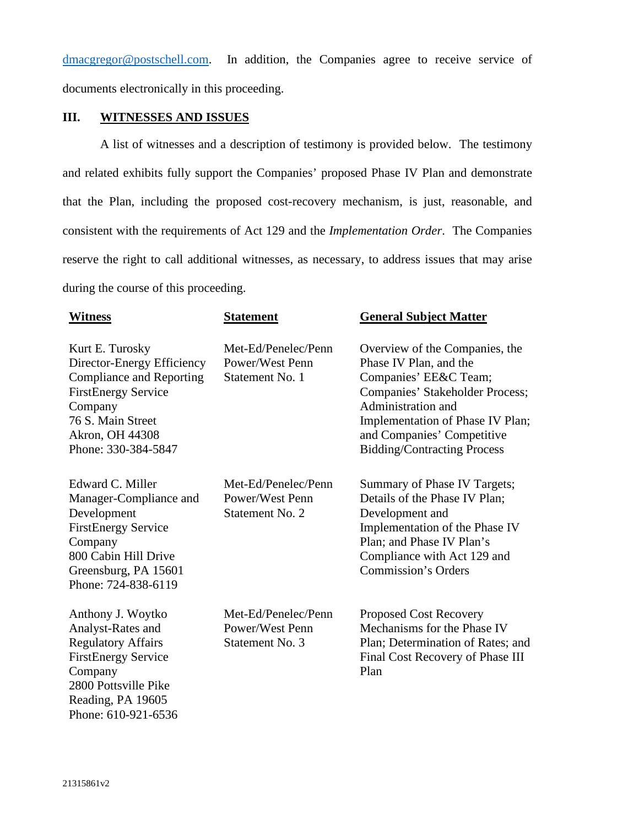dmacgregor@postschell.com. In addition, the Companies agree to receive service of documents electronically in this proceeding.

## **III. WITNESSES AND ISSUES**

A list of witnesses and a description of testimony is provided below. The testimony and related exhibits fully support the Companies' proposed Phase IV Plan and demonstrate that the Plan, including the proposed cost-recovery mechanism, is just, reasonable, and consistent with the requirements of Act 129 and the *Implementation Order*. The Companies reserve the right to call additional witnesses, as necessary, to address issues that may arise during the course of this proceeding.

| <b>Witness</b>                                                                                                                                                                           | <b>Statement</b>                                          | <b>General Subject Matter</b>                                                                                                                                                                                                                      |
|------------------------------------------------------------------------------------------------------------------------------------------------------------------------------------------|-----------------------------------------------------------|----------------------------------------------------------------------------------------------------------------------------------------------------------------------------------------------------------------------------------------------------|
| Kurt E. Turosky<br>Director-Energy Efficiency<br><b>Compliance and Reporting</b><br><b>FirstEnergy Service</b><br>Company<br>76 S. Main Street<br>Akron, OH 44308<br>Phone: 330-384-5847 | Met-Ed/Penelec/Penn<br>Power/West Penn<br>Statement No. 1 | Overview of the Companies, the<br>Phase IV Plan, and the<br>Companies' EE&C Team;<br>Companies' Stakeholder Process;<br>Administration and<br>Implementation of Phase IV Plan;<br>and Companies' Competitive<br><b>Bidding/Contracting Process</b> |
| Edward C. Miller<br>Manager-Compliance and<br>Development<br><b>FirstEnergy Service</b><br>Company<br>800 Cabin Hill Drive<br>Greensburg, PA 15601<br>Phone: 724-838-6119                | Met-Ed/Penelec/Penn<br>Power/West Penn<br>Statement No. 2 | Summary of Phase IV Targets;<br>Details of the Phase IV Plan;<br>Development and<br>Implementation of the Phase IV<br>Plan; and Phase IV Plan's<br>Compliance with Act 129 and<br><b>Commission's Orders</b>                                       |
| Anthony J. Woytko<br>Analyst-Rates and<br><b>Regulatory Affairs</b><br><b>FirstEnergy Service</b><br>Company<br>2800 Pottsville Pike<br>Reading, PA 19605<br>Phone: 610-921-6536         | Met-Ed/Penelec/Penn<br>Power/West Penn<br>Statement No. 3 | <b>Proposed Cost Recovery</b><br>Mechanisms for the Phase IV<br>Plan; Determination of Rates; and<br>Final Cost Recovery of Phase III<br>Plan                                                                                                      |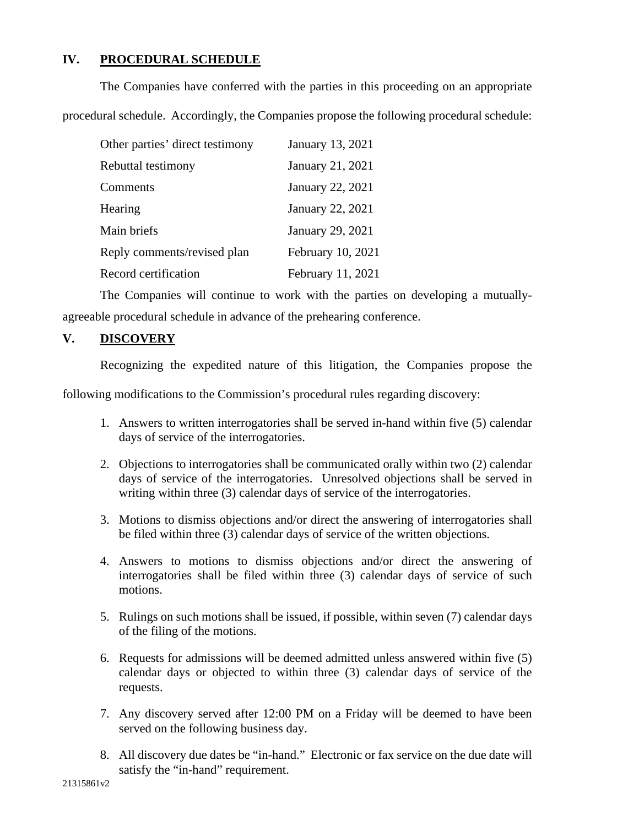# **IV. PROCEDURAL SCHEDULE**

The Companies have conferred with the parties in this proceeding on an appropriate

procedural schedule. Accordingly, the Companies propose the following procedural schedule:

| Other parties' direct testimony | January 13, 2021  |
|---------------------------------|-------------------|
| Rebuttal testimony              | January 21, 2021  |
| Comments                        | January 22, 2021  |
| Hearing                         | January 22, 2021  |
| Main briefs                     | January 29, 2021  |
| Reply comments/revised plan     | February 10, 2021 |
| Record certification            | February 11, 2021 |

The Companies will continue to work with the parties on developing a mutuallyagreeable procedural schedule in advance of the prehearing conference.

# **V. DISCOVERY**

Recognizing the expedited nature of this litigation, the Companies propose the

following modifications to the Commission's procedural rules regarding discovery:

- 1. Answers to written interrogatories shall be served in-hand within five (5) calendar days of service of the interrogatories.
- 2. Objections to interrogatories shall be communicated orally within two (2) calendar days of service of the interrogatories. Unresolved objections shall be served in writing within three (3) calendar days of service of the interrogatories.
- 3. Motions to dismiss objections and/or direct the answering of interrogatories shall be filed within three (3) calendar days of service of the written objections.
- 4. Answers to motions to dismiss objections and/or direct the answering of interrogatories shall be filed within three (3) calendar days of service of such motions.
- 5. Rulings on such motions shall be issued, if possible, within seven (7) calendar days of the filing of the motions.
- 6. Requests for admissions will be deemed admitted unless answered within five (5) calendar days or objected to within three (3) calendar days of service of the requests.
- 7. Any discovery served after 12:00 PM on a Friday will be deemed to have been served on the following business day.
- 8. All discovery due dates be "in-hand." Electronic or fax service on the due date will satisfy the "in-hand" requirement.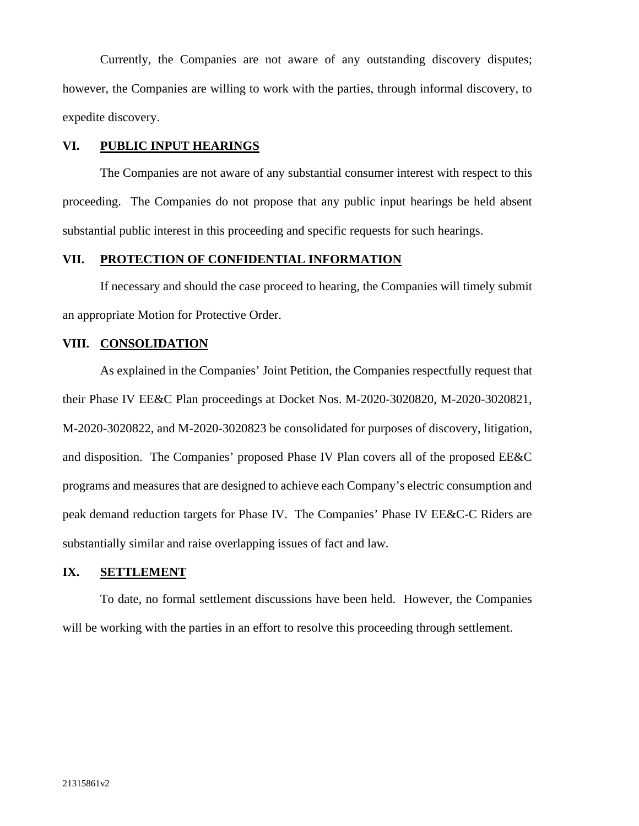Currently, the Companies are not aware of any outstanding discovery disputes; however, the Companies are willing to work with the parties, through informal discovery, to expedite discovery.

#### **VI. PUBLIC INPUT HEARINGS**

The Companies are not aware of any substantial consumer interest with respect to this proceeding. The Companies do not propose that any public input hearings be held absent substantial public interest in this proceeding and specific requests for such hearings.

## **VII. PROTECTION OF CONFIDENTIAL INFORMATION**

If necessary and should the case proceed to hearing, the Companies will timely submit an appropriate Motion for Protective Order.

#### **VIII. CONSOLIDATION**

As explained in the Companies' Joint Petition, the Companies respectfully request that their Phase IV EE&C Plan proceedings at Docket Nos. M-2020-3020820, M-2020-3020821, M-2020-3020822, and M-2020-3020823 be consolidated for purposes of discovery, litigation, and disposition. The Companies' proposed Phase IV Plan covers all of the proposed EE&C programs and measures that are designed to achieve each Company's electric consumption and peak demand reduction targets for Phase IV. The Companies' Phase IV EE&C-C Riders are substantially similar and raise overlapping issues of fact and law.

## **IX. SETTLEMENT**

To date, no formal settlement discussions have been held. However, the Companies will be working with the parties in an effort to resolve this proceeding through settlement.